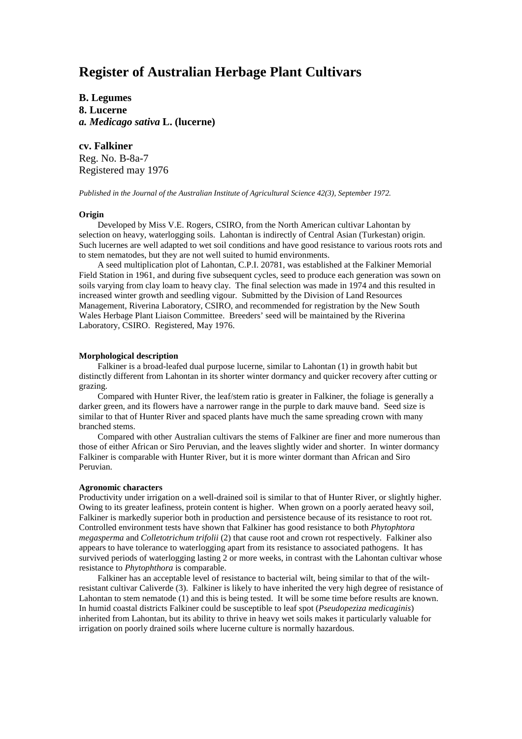# **Register of Australian Herbage Plant Cultivars**

**B. Legumes 8. Lucerne** *a. Medicago sativa* **L. (lucerne)**

### **cv. Falkiner**

Reg. No. B-8a-7 Registered may 1976

*Published in the Journal of the Australian Institute of Agricultural Science 42(3), September 1972.*

#### **Origin**

Developed by Miss V.E. Rogers, CSIRO, from the North American cultivar Lahontan by selection on heavy, waterlogging soils. Lahontan is indirectly of Central Asian (Turkestan) origin. Such lucernes are well adapted to wet soil conditions and have good resistance to various roots rots and to stem nematodes, but they are not well suited to humid environments.

A seed multiplication plot of Lahontan, C.P.I. 20781, was established at the Falkiner Memorial Field Station in 1961, and during five subsequent cycles, seed to produce each generation was sown on soils varying from clay loam to heavy clay. The final selection was made in 1974 and this resulted in increased winter growth and seedling vigour. Submitted by the Division of Land Resources Management, Riverina Laboratory, CSIRO, and recommended for registration by the New South Wales Herbage Plant Liaison Committee. Breeders' seed will be maintained by the Riverina Laboratory, CSIRO. Registered, May 1976.

#### **Morphological description**

Falkiner is a broad-leafed dual purpose lucerne, similar to Lahontan (1) in growth habit but distinctly different from Lahontan in its shorter winter dormancy and quicker recovery after cutting or grazing.

Compared with Hunter River, the leaf/stem ratio is greater in Falkiner, the foliage is generally a darker green, and its flowers have a narrower range in the purple to dark mauve band. Seed size is similar to that of Hunter River and spaced plants have much the same spreading crown with many branched stems.

Compared with other Australian cultivars the stems of Falkiner are finer and more numerous than those of either African or Siro Peruvian, and the leaves slightly wider and shorter. In winter dormancy Falkiner is comparable with Hunter River, but it is more winter dormant than African and Siro Peruvian.

#### **Agronomic characters**

Productivity under irrigation on a well-drained soil is similar to that of Hunter River, or slightly higher. Owing to its greater leafiness, protein content is higher. When grown on a poorly aerated heavy soil, Falkiner is markedly superior both in production and persistence because of its resistance to root rot. Controlled environment tests have shown that Falkiner has good resistance to both *Phytophtora megasperma* and *Colletotrichum trifolii* (2) that cause root and crown rot respectively. Falkiner also appears to have tolerance to waterlogging apart from its resistance to associated pathogens. It has survived periods of waterlogging lasting 2 or more weeks, in contrast with the Lahontan cultivar whose resistance to *Phytophthora* is comparable.

Falkiner has an acceptable level of resistance to bacterial wilt, being similar to that of the wiltresistant cultivar Caliverde (3). Falkiner is likely to have inherited the very high degree of resistance of Lahontan to stem nematode (1) and this is being tested. It will be some time before results are known. In humid coastal districts Falkiner could be susceptible to leaf spot (*Pseudopeziza medicaginis*) inherited from Lahontan, but its ability to thrive in heavy wet soils makes it particularly valuable for irrigation on poorly drained soils where lucerne culture is normally hazardous.